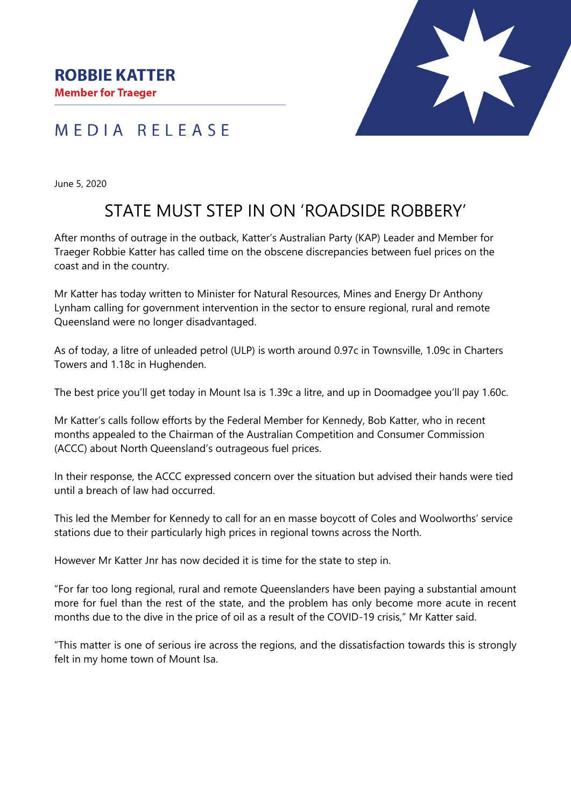



June 5, 2020

## STATE MUST STEP IN ON 'ROADSIDE ROBBERY'

After months of outrage in the outback, Katter's Australian Party (KAP) Leader and Member for Traeger Robbie Katter has called time on the obscene discrepancies between fuel prices on the coast and in the country.

Mr Katter has today written to Minister for Natural Resources, Mines and Energy Dr Anthony Lynham calling for government intervention in the sector to ensure regional, rural and remote Queensland were no longer disadvantaged.

As of today, a litre of unleaded petrol (ULP) is worth around 0.97c in Townsville, 1.09c in Charters Towers and 1.18c in Hughenden.

The best price you'll get today in Mount Isa is 1.39c a litre, and up in Doomadgee you'll pay 1.60c.

Mr Katter's calls follow efforts by the Federal Member for Kennedy, Bob Katter, who in recent months appealed to the Chairman of the Australian Competition and Consumer Commission (ACCC) about North Queensland's outrageous fuel prices.

In their response, the ACCC expressed concern over the situation but advised their hands were tied until a breach of law had occurred.

This led the Member for Kennedy to call for an en masse boycott of Coles and Woolworths' service stations due to their particularly high prices in regional towns across the North.

However Mr Katter Jnr has now decided it is time for the state to step in.

"For far too long regional, rural and remote Queenslanders have been paying a substantial amount more for fuel than the rest of the state, and the problem has only become more acute in recent months due to the dive in the price of oil as a result of the COVID-19 crisis," Mr Katter said.

"This matter is one of serious ire across the regions, and the dissatisfaction towards this is strongly felt in my home town of Mount Isa.